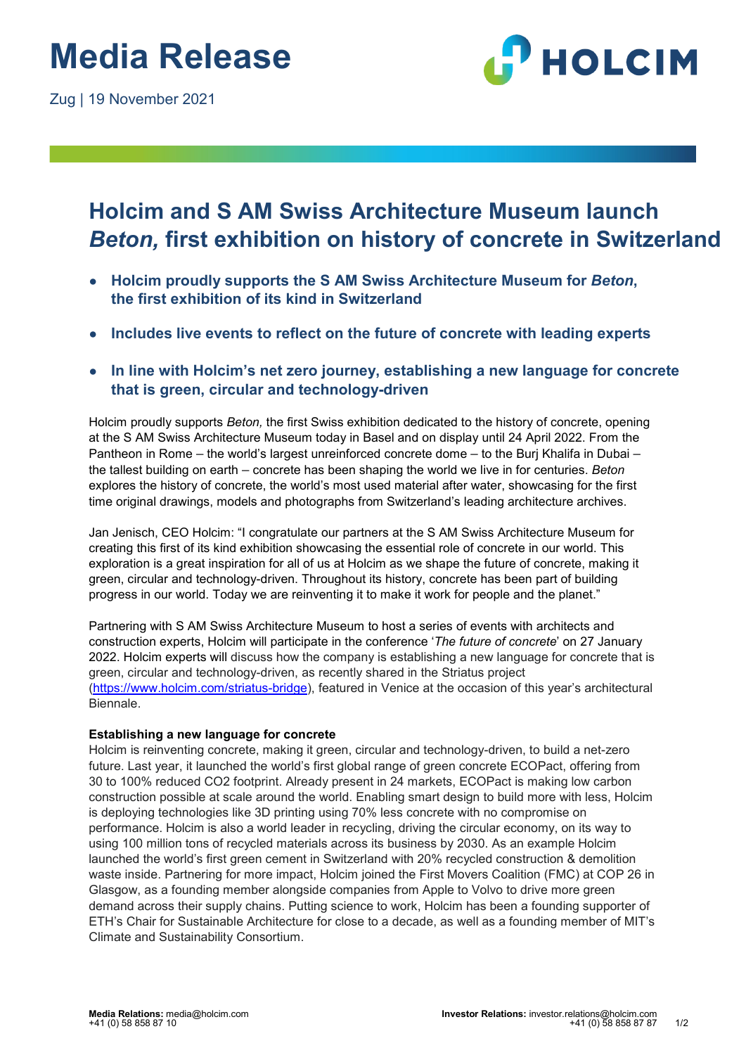

## **Holcim and S AM Swiss Architecture Museum launch**  *Beton,* **first exhibition on history of concrete in Switzerland**

- **Holcim proudly supports the S AM Swiss Architecture Museum for** *Beton***, the first exhibition of its kind in Switzerland**
- Includes live events to reflect on the future of concrete with leading experts
- **In line with Holcim's net zero journey, establishing a new language for concrete that is green, circular and technology-driven**

Holcim proudly supports *Beton,* the first Swiss exhibition dedicated to the history of concrete, opening at the S AM Swiss Architecture Museum today in Basel and on display until 24 April 2022. From the Pantheon in Rome – the world's largest unreinforced concrete dome – to the Burj Khalifa in Dubai – the tallest building on earth – concrete has been shaping the world we live in for centuries. *Beton* explores the history of concrete, the world's most used material after water, showcasing for the first time original drawings, models and photographs from Switzerland's leading architecture archives.

Jan Jenisch, CEO Holcim: "I congratulate our partners at the S AM Swiss Architecture Museum for creating this first of its kind exhibition showcasing the essential role of concrete in our world. This exploration is a great inspiration for all of us at Holcim as we shape the future of concrete, making it green, circular and technology-driven. Throughout its history, concrete has been part of building progress in our world. Today we are reinventing it to make it work for people and the planet."

Partnering with S AM Swiss Architecture Museum to host a series of events with architects and construction experts, Holcim will participate in the conference '*The future of concrete*' on 27 January 2022. Holcim experts will discuss how the company is establishing a new language for concrete that is green, circular and technology-driven, as recently shared in the Striatus project [\(https://www.holcim.com/striatus-bridge\)](https://www.holcim.com/striatus-bridge), featured in Venice at the occasion of this year's architectural Biennale.

### **Establishing a new language for concrete**

Holcim is reinventing concrete, making it green, circular and technology-driven, to build a net-zero future. Last year, it launched the world's first global range of green concrete ECOPact, offering from 30 to 100% reduced CO2 footprint. Already present in 24 markets, ECOPact is making low carbon construction possible at scale around the world. Enabling smart design to build more with less, Holcim is deploying technologies like 3D printing using 70% less concrete with no compromise on performance. Holcim is also a world leader in recycling, driving the circular economy, on its way to using 100 million tons of recycled materials across its business by 2030. As an example Holcim launched the world's first green cement in Switzerland with 20% recycled construction & demolition waste inside. Partnering for more impact, Holcim joined the First Movers Coalition (FMC) at COP 26 in Glasgow, as a founding member alongside companies from Apple to Volvo to drive more green demand across their supply chains. Putting science to work, Holcim has been a founding supporter of ETH's Chair for Sustainable Architecture for close to a decade, as well as a founding member of MIT's Climate and Sustainability Consortium.